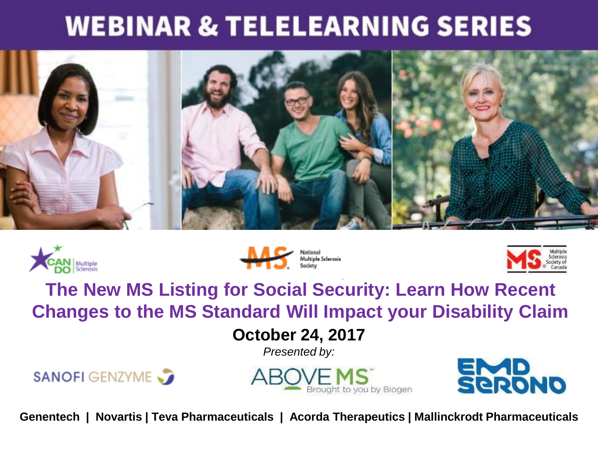#### **WEBINAR & TELELEARNING SERIES**









#### **The New MS Listing for Social Security: Learn How Recent Changes to the MS Standard Will Impact your Disability Claim**

#### **October 24, 2017**

*Presented by:*







**Genentech | Novartis | Teva Pharmaceuticals | Acorda Therapeutics | Mallinckrodt Pharmaceuticals**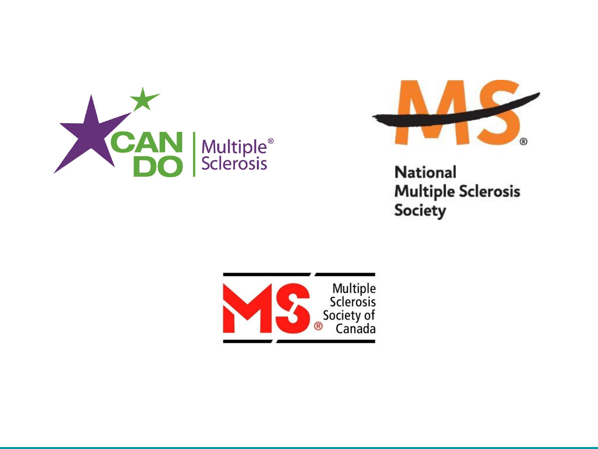



**National Multiple Sclerosis Society** 

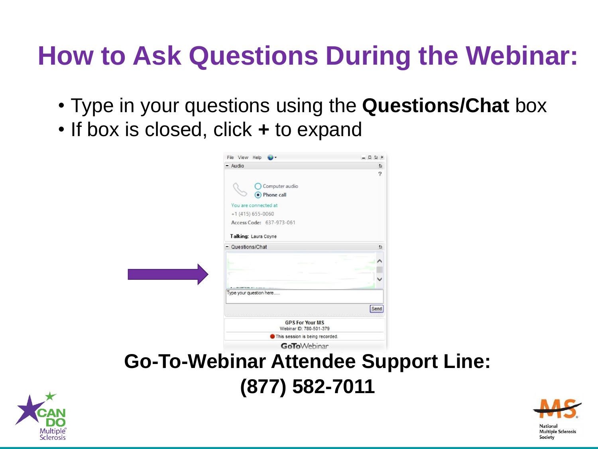#### **How to Ask Questions During the Webinar:**

- Type in your questions using the **Questions/Chat** box
- If box is closed, click **+** to expand

|                                             | File View Help                                                                                                                         | 5x<br>o |  |
|---------------------------------------------|----------------------------------------------------------------------------------------------------------------------------------------|---------|--|
|                                             | $-$ Audio                                                                                                                              | Z,      |  |
|                                             | Computer audio<br><b>Phone call</b><br>You are connected at<br>$+1$ (415) 655-0060<br>Access Code: 637-973-061<br>Talking: Laura Coyne | 2       |  |
|                                             | - Questions/Chat                                                                                                                       | ø       |  |
|                                             | <b>Contract Community Contract Community</b>                                                                                           |         |  |
|                                             | Type your question here                                                                                                                |         |  |
|                                             |                                                                                                                                        | Send    |  |
|                                             | <b>GPS For Your MS</b><br>Webinar ID: 780-501-379                                                                                      |         |  |
|                                             | This session is being recorded.                                                                                                        |         |  |
|                                             | <b>GoTo</b> Webinar                                                                                                                    |         |  |
| <b>Go-To-Webinar Attendee Support Line:</b> |                                                                                                                                        |         |  |

**(877) 582-7011**



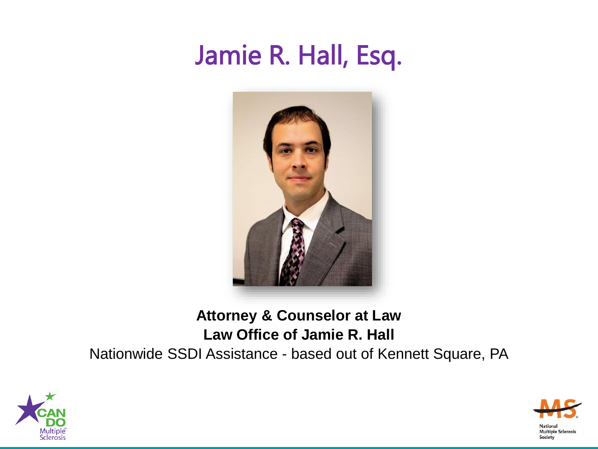#### Jamie R. Hall, Esq.



#### **Attorney & Counselor at Law Law Office of Jamie R. Hall**

Nationwide SSDI Assistance - based out of Kennett Square, PA



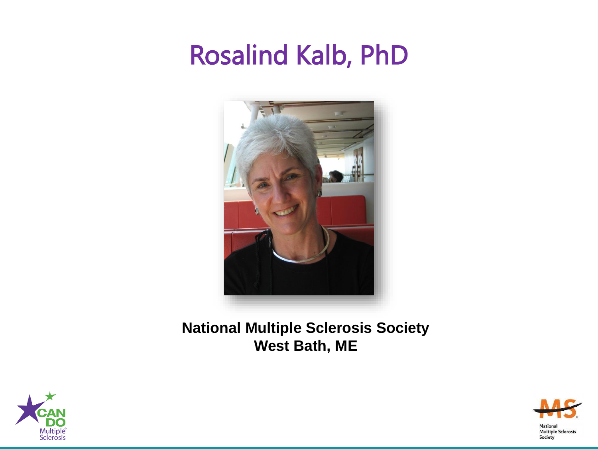#### Rosalind Kalb, PhD



**National Multiple Sclerosis Society West Bath, ME**



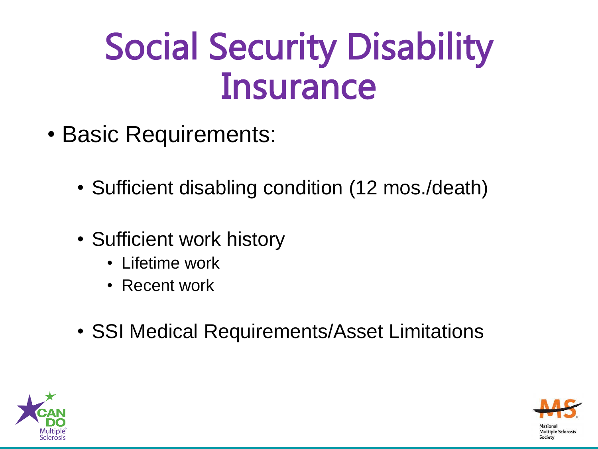### Social Security Disability **Insurance**

- Basic Requirements:
	- Sufficient disabling condition (12 mos./death)
	- Sufficient work history
		- Lifetime work
		- Recent work
	- SSI Medical Requirements/Asset Limitations



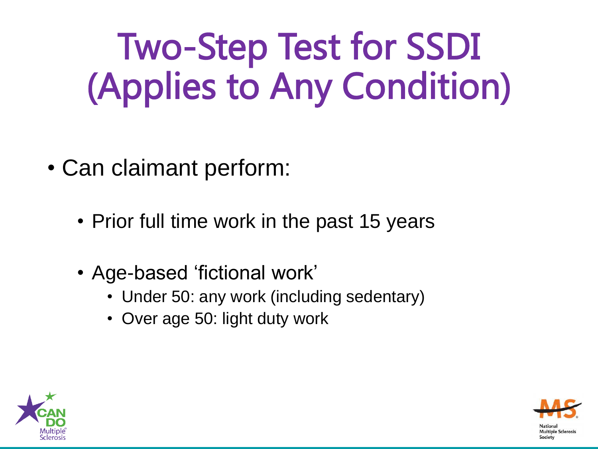# Two-Step Test for SSDI (Applies to Any Condition)

- Can claimant perform:
	- Prior full time work in the past 15 years
	- Age-based 'fictional work'
		- Under 50: any work (including sedentary)
		- Over age 50: light duty work



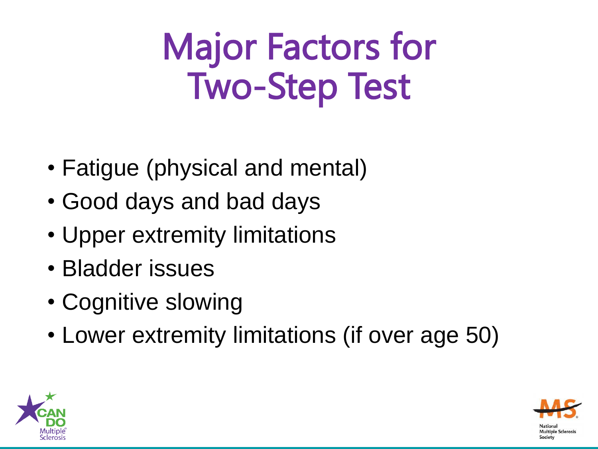## Major Factors for Two-Step Test

- Fatigue (physical and mental)
- Good days and bad days
- Upper extremity limitations
- Bladder issues
- Cognitive slowing
- Lower extremity limitations (if over age 50)



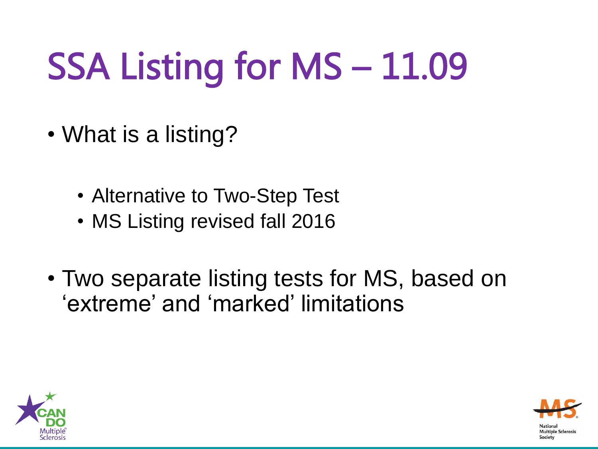# SSA Listing for MS – 11.09

- What is a listing?
	- Alternative to Two-Step Test
	- MS Listing revised fall 2016
- Two separate listing tests for MS, based on 'extreme' and 'marked' limitations



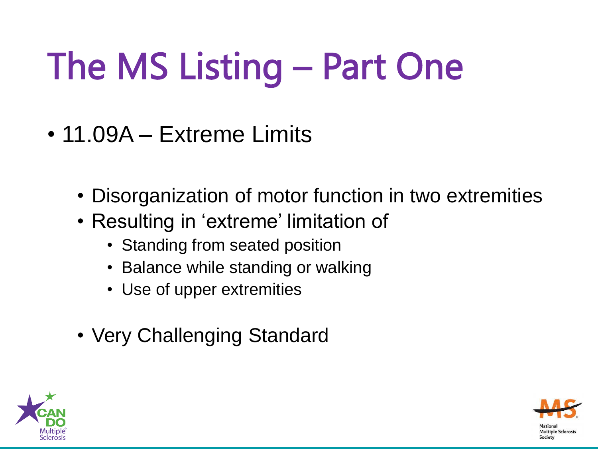# The MS Listing – Part One

- 11.09A Extreme Limits
	- Disorganization of motor function in two extremities
	- Resulting in 'extreme' limitation of
		- Standing from seated position
		- Balance while standing or walking
		- Use of upper extremities
	- Very Challenging Standard



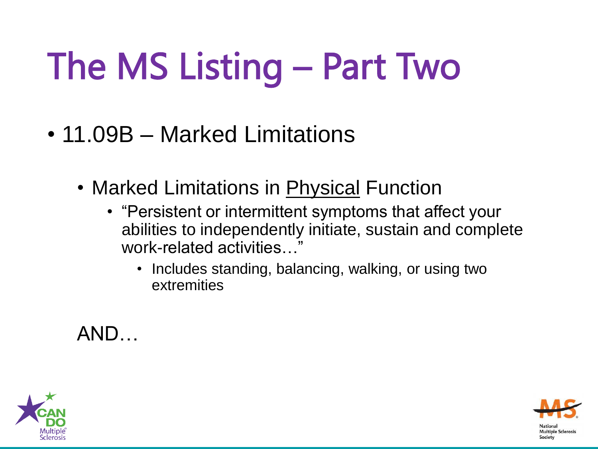# The MS Listing – Part Two

- 11.09B Marked Limitations
	- Marked Limitations in Physical Function
		- "Persistent or intermittent symptoms that affect your abilities to independently initiate, sustain and complete work-related activities…"
			- Includes standing, balancing, walking, or using two extremities

AND…



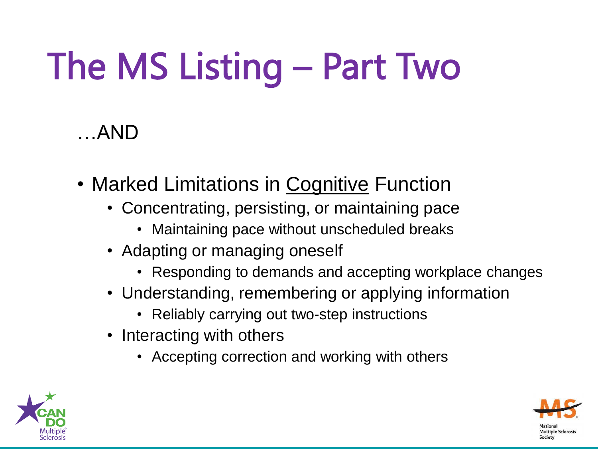# The MS Listing – Part Two

#### …AND

- Marked Limitations in Cognitive Function
	- Concentrating, persisting, or maintaining pace
		- Maintaining pace without unscheduled breaks
	- Adapting or managing oneself
		- Responding to demands and accepting workplace changes
	- Understanding, remembering or applying information
		- Reliably carrying out two-step instructions
	- Interacting with others
		- Accepting correction and working with others



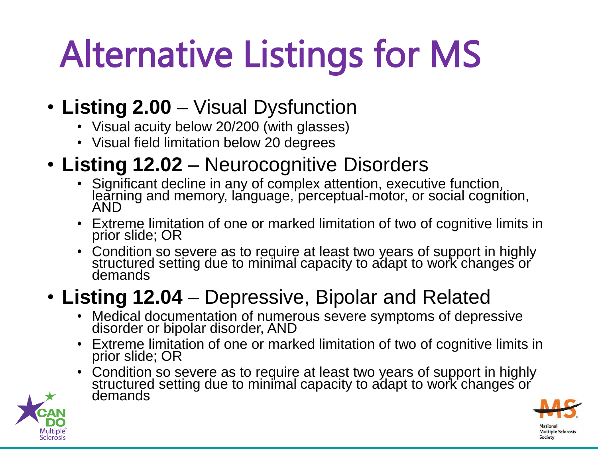# Alternative Listings for MS

- **Listing 2.00**  Visual Dysfunction
	- Visual acuity below 20/200 (with glasses)
	- Visual field limitation below 20 degrees
- **Listing 12.02**  Neurocognitive Disorders
	- Significant decline in any of complex attention, executive function, learning and memory, language, perceptual-motor, or social cognition, AND
	- Extreme limitation of one or marked limitation of two of cognitive limits in prior slide; OR
	- Condition so severe as to require at least two years of support in highly structured setting due to minimal capacity to adapt to work changes or demands

#### • **Listing 12.04** – Depressive, Bipolar and Related

- Medical documentation of numerous severe symptoms of depressive disorder or bipolar disorder, AND
- Extreme limitation of one or marked limitation of two of cognitive limits in prior slide; OR
- Condition so severe as to require at least two years of support in highly structured setting due to minimal capacity to adapt to work changes or demands



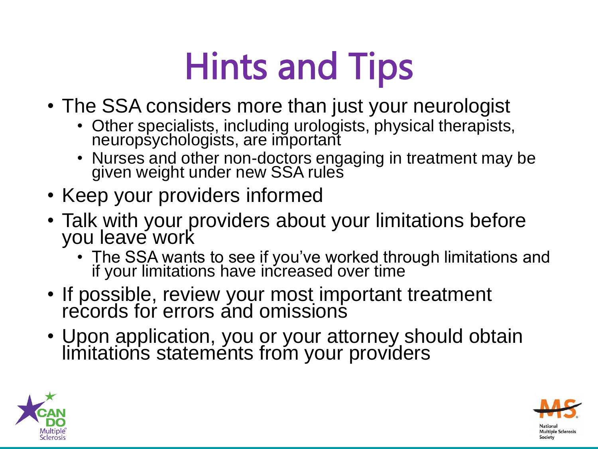## Hints and Tips

- The SSA considers more than just your neurologist
	- Other specialists, including urologists, physical therapists, neuropsychologists, are important
	- Nurses and other non-doctors engaging in treatment may be given weight under new SSA rules
- Keep your providers informed
- Talk with your providers about your limitations before you leave work
	- The SSA wants to see if you've worked through limitations and if your limitations have increased over time
- If possible, review your most important treatment records for errors and omissions
- Upon application, you or your attorney should obtain limitations statements from your providers



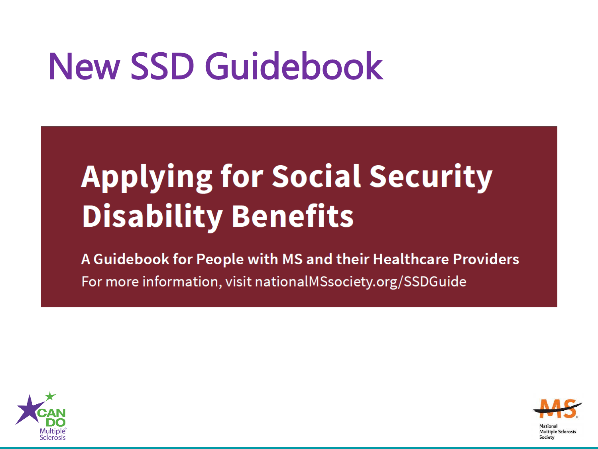## New SSD Guidebook

### **Applying for Social Security Disability Benefits**

A Guidebook for People with MS and their Healthcare Providers For more information, visit nationalMSsociety.org/SSDGuide



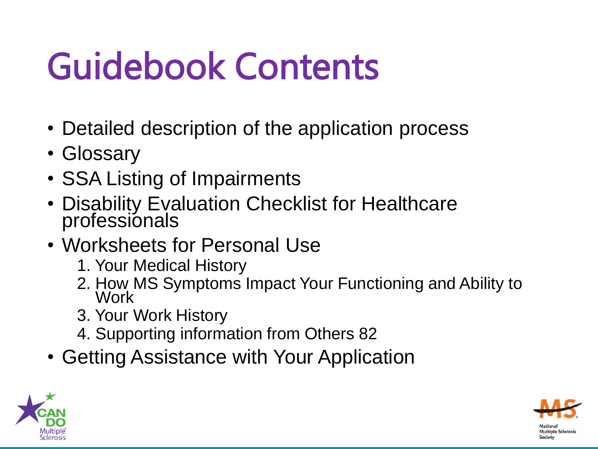# Guidebook Contents

- Detailed description of the application process
- Glossary
- SSA Listing of Impairments
- Disability Evaluation Checklist for Healthcare professionals
- Worksheets for Personal Use
	- 1. Your Medical History
	- 2. How MS Symptoms Impact Your Functioning and Ability to **Work**
	- 3. Your Work History
	- 4. Supporting information from Others 82
- Getting Assistance with Your Application



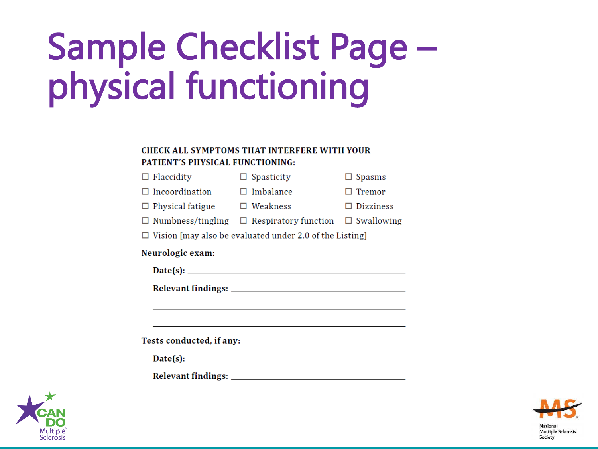# **Sample Checklist Page** physical functioning

#### **CHECK ALL SYMPTOMS THAT INTERFERE WITH YOUR** PATIENT'S PHYSICAL FUNCTIONING:

| $\Box$ Flaccidity     | $\Box$ Spasticity | $\Box$ Spasms |
|-----------------------|-------------------|---------------|
| $\Box$ Incoordination | $\Box$ Imbalance  | $\Box$ Tremor |
|                       |                   |               |

| $\sqsupset$ Physical fatigue<br>$\Box$ Weakness | $\Box$ Dizziness |
|-------------------------------------------------|------------------|
|-------------------------------------------------|------------------|

| $\Box$ Numbness/tingling | $\Box$ Respiratory function | $\Box$ Swallowing |
|--------------------------|-----------------------------|-------------------|
|--------------------------|-----------------------------|-------------------|

 $\Box$  Vision [may also be evaluated under 2.0 of the Listing]

#### Neurologic exam:

| ня<br>88. PR |  |
|--------------|--|
|              |  |

Tests conducted, if any:

| Date(s): |  |
|----------|--|
|          |  |



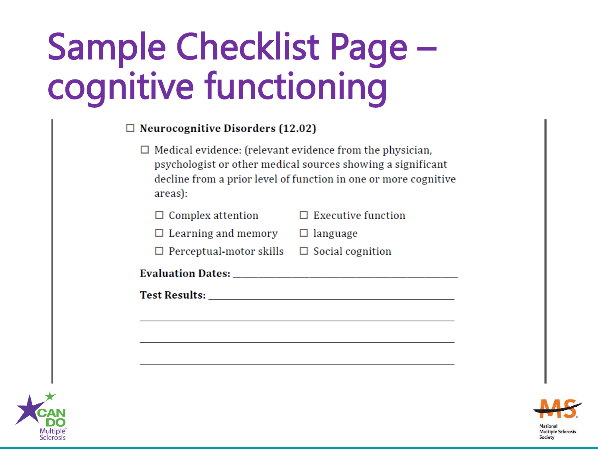## Sample Checklist Page – cognitive functioning

| $\Box$ Neurocognitive Disorders (12.02)                                                                                                                                                                                             |                                                                                                                                |
|-------------------------------------------------------------------------------------------------------------------------------------------------------------------------------------------------------------------------------------|--------------------------------------------------------------------------------------------------------------------------------|
| $\Box$ Medical evidence: (relevant evidence from the physician,<br>areas):                                                                                                                                                          | psychologist or other medical sources showing a significant<br>decline from a prior level of function in one or more cognitive |
| $\Box$ Complex attention                                                                                                                                                                                                            | $\Box$ Executive function                                                                                                      |
| $\Box$ Learning and memory                                                                                                                                                                                                          | $\Box$ language                                                                                                                |
| $\Box$ Perceptual-motor skills $\Box$ Social cognition                                                                                                                                                                              |                                                                                                                                |
| <b>Evaluation Dates:</b>                                                                                                                                                                                                            |                                                                                                                                |
| <b>Test Results:</b> The contract of the contract of the contract of the contract of the contract of the contract of the contract of the contract of the contract of the contract of the contract of the contract of the contract o |                                                                                                                                |



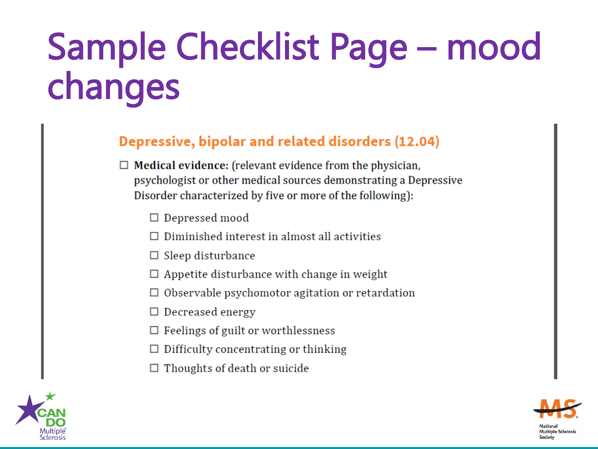# **Sample Checklist Page - mood** changes

#### Depressive, bipolar and related disorders (12.04)

- $\Box$  Medical evidence: (relevant evidence from the physician, psychologist or other medical sources demonstrating a Depressive Disorder characterized by five or more of the following):
	- $\Box$  Depressed mood
	- $\Box$  Diminished interest in almost all activities
	- $\Box$  Sleep disturbance
	- $\Box$  Appetite disturbance with change in weight
	- $\Box$  Observable psychomotor agitation or retardation
	- $\Box$  Decreased energy
	- $\Box$  Feelings of guilt or worthlessness
	- Difficulty concentrating or thinking
	- $\Box$  Thoughts of death or suicide



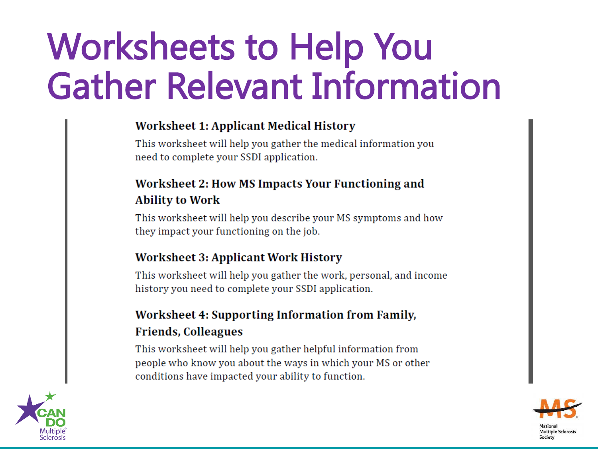### **Worksheets to Help You Gather Relevant Information**

#### **Worksheet 1: Applicant Medical History**

This worksheet will help you gather the medical information you need to complete your SSDI application.

#### Worksheet 2: How MS Impacts Your Functioning and **Ability to Work**

This worksheet will help you describe your MS symptoms and how they impact your functioning on the job.

#### **Worksheet 3: Applicant Work History**

This worksheet will help you gather the work, personal, and income history you need to complete your SSDI application.

#### Worksheet 4: Supporting Information from Family, **Friends, Colleagues**

This worksheet will help you gather helpful information from people who know you about the ways in which your MS or other conditions have impacted your ability to function.



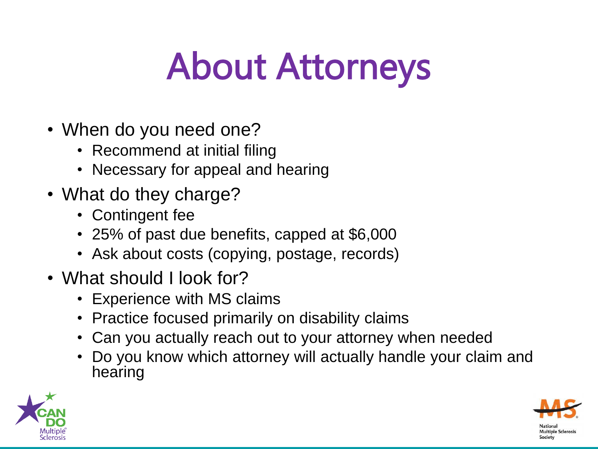## About Attorneys

- When do you need one?
	- Recommend at initial filing
	- Necessary for appeal and hearing
- What do they charge?
	- Contingent fee
	- 25% of past due benefits, capped at \$6,000
	- Ask about costs (copying, postage, records)
- What should I look for?
	- Experience with MS claims
	- Practice focused primarily on disability claims
	- Can you actually reach out to your attorney when needed
	- Do you know which attorney will actually handle your claim and hearing



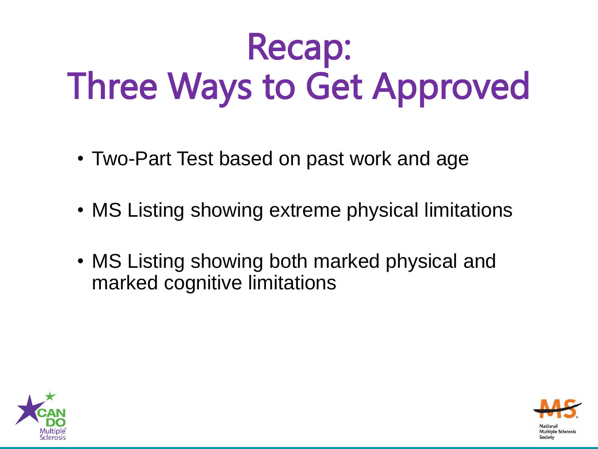## Recap: Three Ways to Get Approved

- Two-Part Test based on past work and age
- MS Listing showing extreme physical limitations
- MS Listing showing both marked physical and marked cognitive limitations



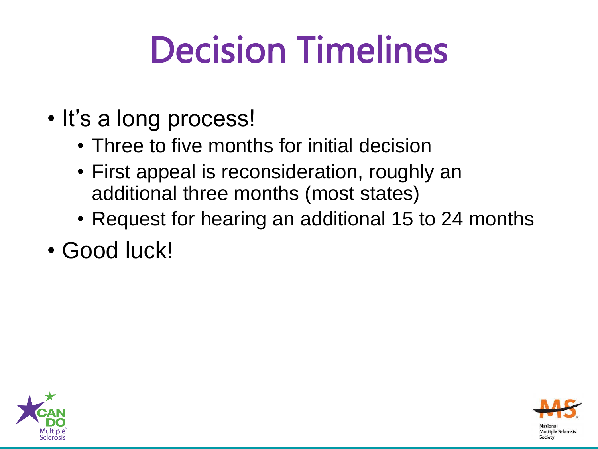# Decision Timelines

- It's a long process!
	- Three to five months for initial decision
	- First appeal is reconsideration, roughly an additional three months (most states)
	- Request for hearing an additional 15 to 24 months
- Good luck!



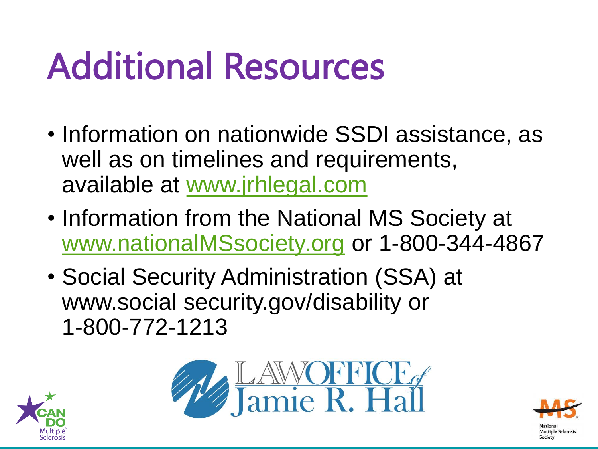# Additional Resources

- Information on nationwide SSDI assistance, as well as on timelines and requirements, available at [www.jrhlegal.com](http://www.jrhlegal.com/)
- Information from the National MS Society at [www.nationalMSsociety.org](http://www.nationalmssociety.org/) or 1-800-344-4867
- Social Security Administration (SSA) at www.social security.gov/disability or 1-800-772-1213





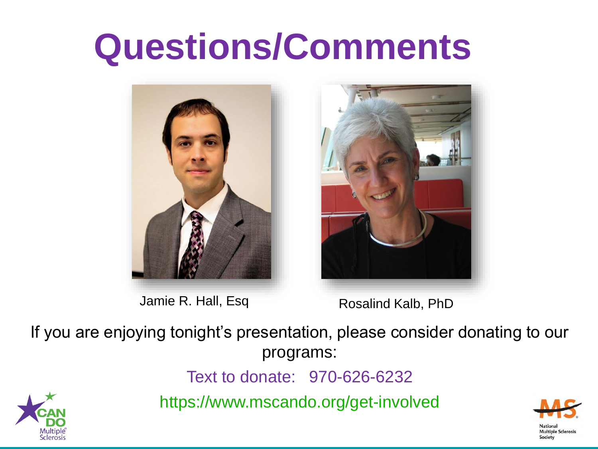### **Questions/Comments**



Jamie R. Hall, Esq



Rosalind Kalb, PhD

If you are enjoying tonight's presentation, please consider donating to our programs:

Text to donate: 970-626-6232

https://www.mscando.org/get-involved



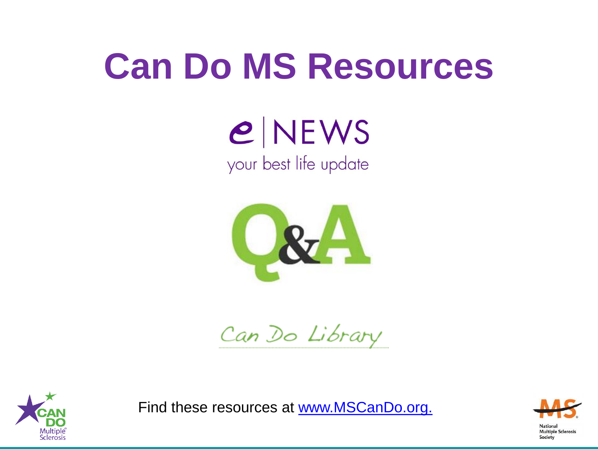### **Can Do MS Resources**

 $e$  NEWS your best life update



Can Do Library



Find these resources at www.MSCanDo.org.

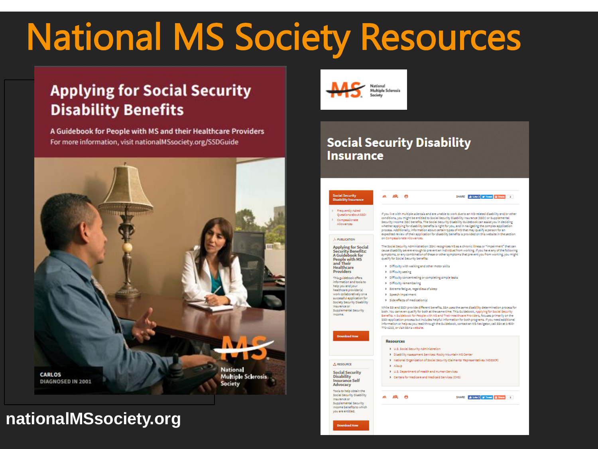### **National MS Society Resources**

#### **Applying for Social Security Disability Benefits**

A Guidebook for People with MS and their Healthcare Providers For more information, visit nationalMSsociety.org/SSDGuide



#### nationalMSsociety.org



#### **Social Security Disability Insurance**



whether applying for disability benefits is right for you, and in navigating the complex application

SHARE as Lots 2 M Towel El Share 4 2

expedited review of their application for disability benefits is provided on this website in the section

The Social Security Administration (SSA) recognizes MS as a chronic illness or "impairment" that can<br>cause disability severe enough to prevent an individual from working. If you have any of the following symptoms, or any combination of these or other symptoms that prevent you from working, you might qualify for Social Security benefits:

- > Difficulty with welking and other motor skills
- > Difficulty concentrating or completing simple tasks
- 
- 
- 

While SSI and SSDI provide different benefits, SSA uses the same disability determination process for both. You can even qualify for both at the same time. This Guidebook, Applying for Social Security Benefits: A Guidebook for People with MS and Their Healthcare Providers, focuses primarily on the<br>SSDI application process but includes helpful information for both programs. If you need additional nformation or help as you read through the Guidebook, contact an MS Navigator, call SSA at 1-800-

- # U.S. Social Security Administration
- > Disability Assessment Services: Rocky Mountain MS Center
- > National Organization of Social Security Claiments' Representatives (NOSSCR)
- 9 U.S. Department of Health and Human Services
- > Centers for Medicare and Medicaid Services (CMS)

Supplemental Security ncome benefits to which you are entitled.

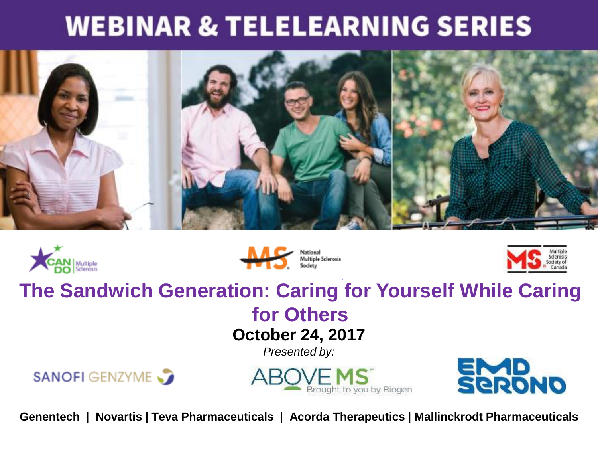#### **WEBINAR & TELELEARNING SERIES**









#### **The Sandwich Generation: Caring for Yourself While Caring**

#### **for Others October 24, 2017**

*Presented by:*







**Genentech | Novartis | Teva Pharmaceuticals | Acorda Therapeutics | Mallinckrodt Pharmaceuticals**